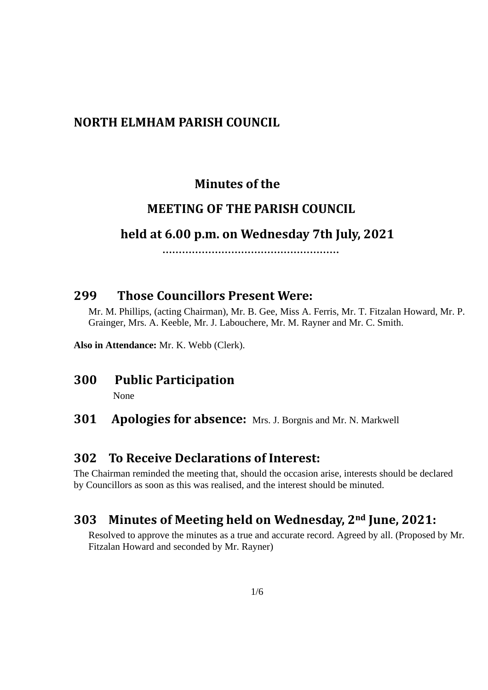#### **NORTH ELMHAM PARISH COUNCIL**

#### **Minutes of the**

#### **MEETING OF THE PARISH COUNCIL**

#### **held at 6.00 p.m. on Wednesday 7th July, 2021**

 **………………………………………………**

#### **299 Those Councillors Present Were:**

Mr. M. Phillips, (acting Chairman), Mr. B. Gee, Miss A. Ferris, Mr. T. Fitzalan Howard, Mr. P. Grainger, Mrs. A. Keeble, Mr. J. Labouchere, Mr. M. Rayner and Mr. C. Smith.

**Also in Attendance:** Mr. K. Webb (Clerk).

#### **300 Public Participation**

None

#### **301 Apologies for absence:** Mrs. J. Borgnis and Mr. N. Markwell

#### **302 To Receive Declarations of Interest:**

The Chairman reminded the meeting that, should the occasion arise, interests should be declared by Councillors as soon as this was realised, and the interest should be minuted.

#### **303 Minutes of Meeting held on Wednesday, 2nd June, 2021:**

Resolved to approve the minutes as a true and accurate record. Agreed by all. (Proposed by Mr. Fitzalan Howard and seconded by Mr. Rayner)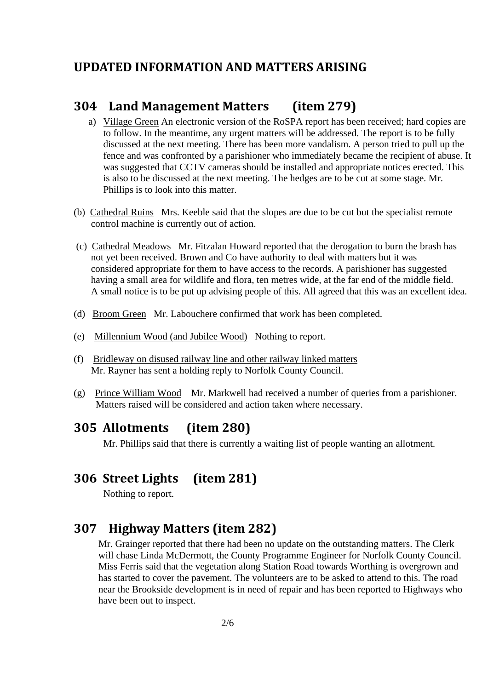#### **UPDATED INFORMATION AND MATTERS ARISING**

#### **304 Land Management Matters (item 279)**

- a) Village Green An electronic version of the RoSPA report has been received; hard copies are to follow. In the meantime, any urgent matters will be addressed. The report is to be fully discussed at the next meeting. There has been more vandalism. A person tried to pull up the fence and was confronted by a parishioner who immediately became the recipient of abuse. It was suggested that CCTV cameras should be installed and appropriate notices erected. This is also to be discussed at the next meeting. The hedges are to be cut at some stage. Mr. Phillips is to look into this matter.
- (b) Cathedral Ruins Mrs. Keeble said that the slopes are due to be cut but the specialist remote control machine is currently out of action.
- (c) Cathedral Meadows Mr. Fitzalan Howard reported that the derogation to burn the brash has not yet been received. Brown and Co have authority to deal with matters but it was considered appropriate for them to have access to the records. A parishioner has suggested having a small area for wildlife and flora, ten metres wide, at the far end of the middle field. A small notice is to be put up advising people of this. All agreed that this was an excellent idea.
- (d) Broom Green Mr. Labouchere confirmed that work has been completed.
- (e) Millennium Wood (and Jubilee Wood) Nothing to report.
- (f) Bridleway on disused railway line and other railway linked matters Mr. Rayner has sent a holding reply to Norfolk County Council.
- (g) Prince William Wood Mr. Markwell had received a number of queries from a parishioner. Matters raised will be considered and action taken where necessary.

### **305 Allotments (item 280)**

Mr. Phillips said that there is currently a waiting list of people wanting an allotment.

# **306 Street Lights (item 281)**

Nothing to report.

# **307 Highway Matters (item 282)**

Mr. Grainger reported that there had been no update on the outstanding matters. The Clerk will chase Linda McDermott, the County Programme Engineer for Norfolk County Council. Miss Ferris said that the vegetation along Station Road towards Worthing is overgrown and has started to cover the pavement. The volunteers are to be asked to attend to this. The road near the Brookside development is in need of repair and has been reported to Highways who have been out to inspect.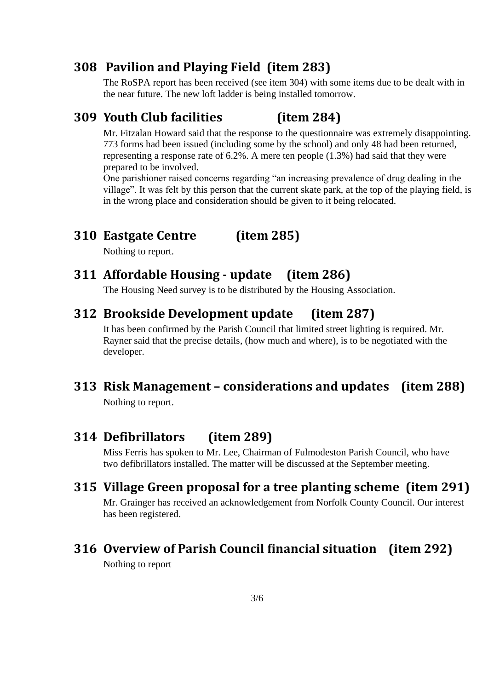## **308 Pavilion and Playing Field (item 283)**

The RoSPA report has been received (see item 304) with some items due to be dealt with in the near future. The new loft ladder is being installed tomorrow.

#### **309 Youth Club facilities (item 284)**

Mr. Fitzalan Howard said that the response to the questionnaire was extremely disappointing. 773 forms had been issued (including some by the school) and only 48 had been returned, representing a response rate of 6.2%. A mere ten people (1.3%) had said that they were prepared to be involved.

One parishioner raised concerns regarding "an increasing prevalence of drug dealing in the village". It was felt by this person that the current skate park, at the top of the playing field, is in the wrong place and consideration should be given to it being relocated.

# **310 Eastgate Centre (item 285)**

Nothing to report.

# **311 Affordable Housing - update (item 286)**

The Housing Need survey is to be distributed by the Housing Association.

# **312 Brookside Development update (item 287)**

It has been confirmed by the Parish Council that limited street lighting is required. Mr. Rayner said that the precise details, (how much and where), is to be negotiated with the developer.

# **313 Risk Management – considerations and updates (item 288)**

Nothing to report.

# **314 Defibrillators (item 289)**

Miss Ferris has spoken to Mr. Lee, Chairman of Fulmodeston Parish Council, who have two defibrillators installed. The matter will be discussed at the September meeting.

# **315 Village Green proposal for a tree planting scheme (item 291)**

Mr. Grainger has received an acknowledgement from Norfolk County Council. Our interest has been registered.

### **316 Overview of Parish Council financial situation (item 292)**

Nothing to report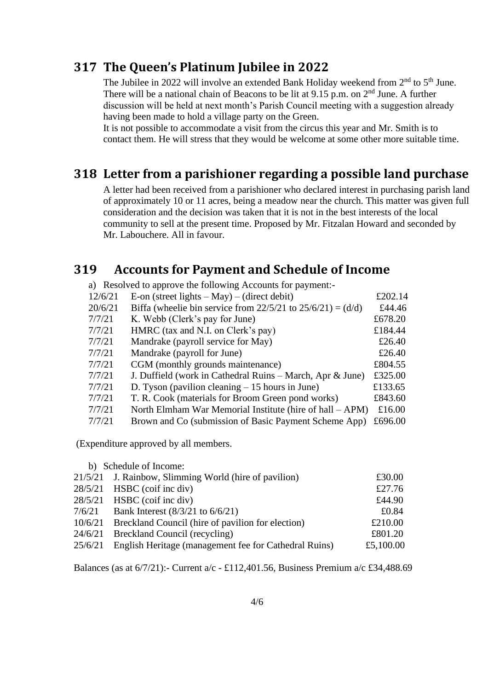#### **317 The Queen's Platinum Jubilee in 2022**

The Jubilee in 2022 will involve an extended Bank Holiday weekend from  $2<sup>nd</sup>$  to  $5<sup>th</sup>$  June. There will be a national chain of Beacons to be lit at  $9.15$  p.m. on  $2<sup>nd</sup>$  June. A further discussion will be held at next month's Parish Council meeting with a suggestion already having been made to hold a village party on the Green.

It is not possible to accommodate a visit from the circus this year and Mr. Smith is to contact them. He will stress that they would be welcome at some other more suitable time.

### **318 Letter from a parishioner regarding a possible land purchase**

A letter had been received from a parishioner who declared interest in purchasing parish land of approximately 10 or 11 acres, being a meadow near the church. This matter was given full consideration and the decision was taken that it is not in the best interests of the local community to sell at the present time. Proposed by Mr. Fitzalan Howard and seconded by Mr. Labouchere. All in favour.

# **319 Accounts for Payment and Schedule of Income**

a) Resolved to approve the following Accounts for payment:-

| 12/6/21 | E-on (street lights $-$ May) $-$ (direct debit)                  | £202.14 |
|---------|------------------------------------------------------------------|---------|
| 20/6/21 | Biffa (wheelie bin service from $22/5/21$ to $25/6/21$ ) = (d/d) | £44.46  |
| 7/7/21  | K. Webb (Clerk's pay for June)                                   | £678.20 |
| 7/7/21  | HMRC (tax and N.I. on Clerk's pay)                               | £184.44 |
| 7/7/21  | Mandrake (payroll service for May)                               | £26.40  |
| 7/7/21  | Mandrake (payroll for June)                                      | £26.40  |
| 7/7/21  | CGM (monthly grounds maintenance)                                | £804.55 |
| 7/7/21  | J. Duffield (work in Cathedral Ruins – March, Apr & June)        | £325.00 |
| 7/7/21  | D. Tyson (pavilion cleaning $-15$ hours in June)                 | £133.65 |
| 7/7/21  | T. R. Cook (materials for Broom Green pond works)                | £843.60 |
| 7/7/21  | North Elmham War Memorial Institute (hire of hall – APM)         | £16.00  |
| 7/7/21  | Brown and Co (submission of Basic Payment Scheme App)            | £696.00 |

(Expenditure approved by all members.

b) Schedule of Income:

|         | 21/5/21 J. Rainbow, Slimming World (hire of pavilion) | £30.00    |
|---------|-------------------------------------------------------|-----------|
|         | $28/5/21$ HSBC (coif inc div)                         | £27.76    |
|         | $28/5/21$ HSBC (coif inc div)                         | £44.90    |
| 7/6/21  | Bank Interest $(8/3/21)$ to $6/6/21$                  | £0.84     |
| 10/6/21 | Breckland Council (hire of pavilion for election)     | £210.00   |
| 24/6/21 | Breckland Council (recycling)                         | £801.20   |
| 25/6/21 | English Heritage (management fee for Cathedral Ruins) | £5,100.00 |
|         |                                                       |           |

Balances (as at 6/7/21):- Current a/c - £112,401.56, Business Premium a/c £34,488.69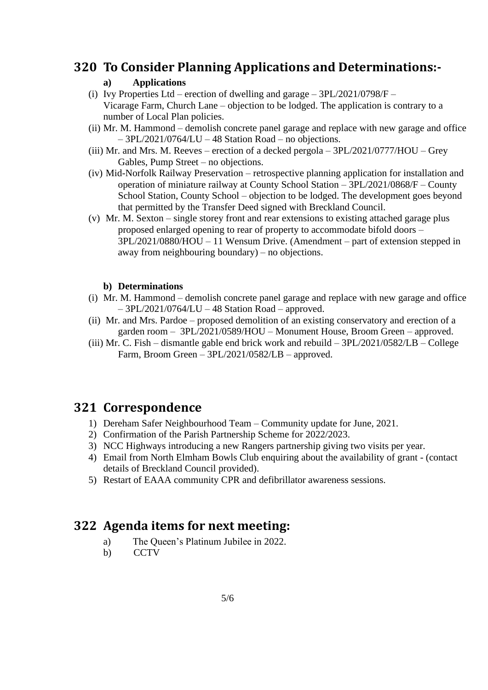#### **320 To Consider Planning Applications and Determinations:-**

#### **a) Applications**

- (i) Ivy Properties Ltd erection of dwelling and garage  $3PL/2021/0798/F$  Vicarage Farm, Church Lane – objection to be lodged. The application is contrary to a number of Local Plan policies.
- (ii) Mr. M. Hammond demolish concrete panel garage and replace with new garage and office  $-$  3PL/2021/0764/LU – 48 Station Road – no objections.
- (iii) Mr. and Mrs. M. Reeves erection of a decked pergola 3PL/2021/0777/HOU Grey Gables, Pump Street – no objections.
- (iv) Mid-Norfolk Railway Preservation retrospective planning application for installation and operation of miniature railway at County School Station – 3PL/2021/0868/F – County School Station, County School – objection to be lodged. The development goes beyond that permitted by the Transfer Deed signed with Breckland Council.
- (v) Mr. M. Sexton single storey front and rear extensions to existing attached garage plus proposed enlarged opening to rear of property to accommodate bifold doors – 3PL/2021/0880/HOU – 11 Wensum Drive. (Amendment – part of extension stepped in away from neighbouring boundary) – no objections.

#### **b) Determinations**

- (i) Mr. M. Hammond demolish concrete panel garage and replace with new garage and office – 3PL/2021/0764/LU – 48 Station Road – approved.
- (ii) Mr. and Mrs. Pardoe proposed demolition of an existing conservatory and erection of a garden room – 3PL/2021/0589/HOU – Monument House, Broom Green – approved.
- (iii) Mr. C. Fish dismantle gable end brick work and rebuild 3PL/2021/0582/LB College Farm, Broom Green – 3PL/2021/0582/LB – approved.

# **321 Correspondence**

- 1) Dereham Safer Neighbourhood Team Community update for June, 2021.
- 2) Confirmation of the Parish Partnership Scheme for 2022/2023.
- 3) NCC Highways introducing a new Rangers partnership giving two visits per year.
- 4) Email from North Elmham Bowls Club enquiring about the availability of grant (contact details of Breckland Council provided).
- 5) Restart of EAAA community CPR and defibrillator awareness sessions.

# **322 Agenda items for next meeting:**

- a) The Queen's Platinum Jubilee in 2022.
- b) CCTV